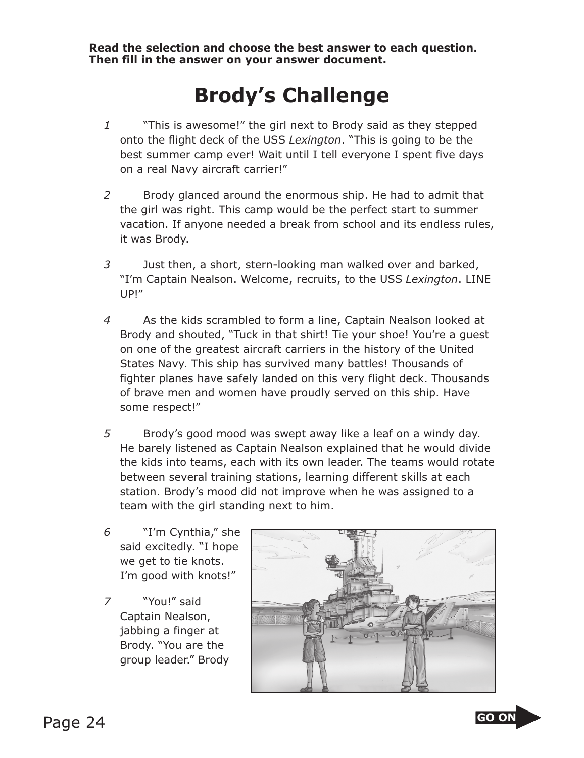**Read the selection and choose the best answer to each question. Then fill in the answer on your answer document.**

## **Brody's Challenge**

- *1* "This is awesome!" the girl next to Brody said as they stepped onto the flight deck of the USS *Lexington*. "This is going to be the best summer camp ever! Wait until I tell everyone I spent five days on a real Navy aircraft carrier!"
- *2* Brody glanced around the enormous ship. He had to admit that the girl was right. This camp would be the perfect start to summer vacation. If anyone needed a break from school and its endless rules, it was Brody.
- *3* Just then, a short, stern-looking man walked over and barked, "I'm Captain Nealson. Welcome, recruits, to the USS *Lexington*. LINE UP!"
- *4* As the kids scrambled to form a line, Captain Nealson looked at Brody and shouted, "Tuck in that shirt! Tie your shoe! You're a guest on one of the greatest aircraft carriers in the history of the United States Navy. This ship has survived many battles! Thousands of fighter planes have safely landed on this very flight deck. Thousands of brave men and women have proudly served on this ship. Have some respect!"
- *5* Brody's good mood was swept away like a leaf on a windy day. He barely listened as Captain Nealson explained that he would divide the kids into teams, each with its own leader. The teams would rotate between several training stations, learning different skills at each station. Brody's mood did not improve when he was assigned to a team with the girl stan ding next to him.
- *6* "I'm Cynthia," she said excitedly. "I hope we get to tie knots. I'm good with knots!"
- *7* "You!" said Captain Nealson, jabbing a finger at Brody. "You are the group leader." Brody



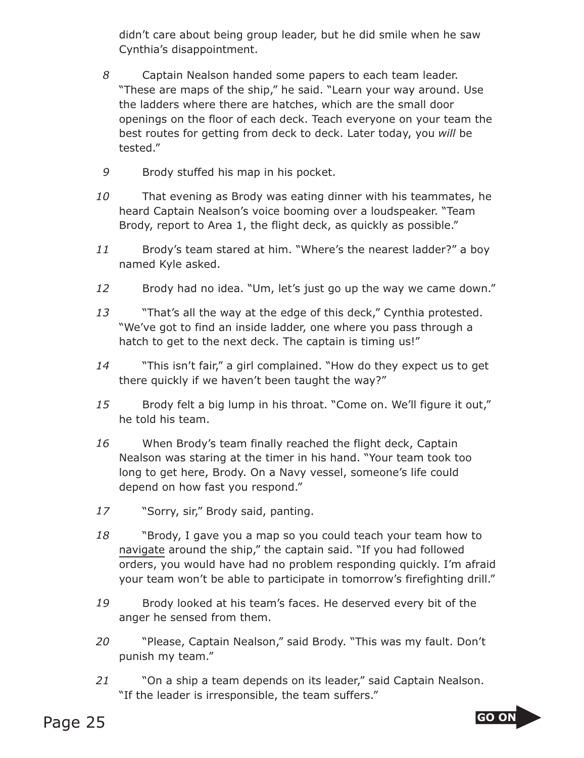didn't care about being group leader, but he did smile when he saw Cynthia's disappointment.

- *8* Captain Nealson handed some papers to each team leader. "These are maps of the ship," he said. "Learn your way around. Use the ladders where there are hatches, which are the small door openings on the floor of each deck. Teach everyone on your team the best routes for getting from deck to deck. Later today, you *will* be tested."
- *9* Brody stuffed his map in his pocket.
- That evening as Brody was eating dinner with his teammates, he heard Captain Nealson's voice booming over a loudspeaker. "Team Brody, report to Area 1, the flight deck, as quickly as possible."  *1*
- *1* Brody's team stared at him. "Where's the nearest ladder?" a boy named Kyle asked.  *1*
- *2* Brody had no idea. "Um, let's just go up the way we came down."  *1*
- *3* "That's all the way at the edge of this deck," Cynthia protested. "We've got to find an inside ladder, one where you pass through a hatch to get to the next deck. The captain is timing us!"  *1*
- *4* "This isn't fair," a girl complained. "How do they expect us to get there quickly if we haven't been taught the way?"  *1*
- *5* Brody felt a big lump in his throat. "Come on. We'll figure it out," he told his team.  *1*
- When Brody's team finally reached the flight deck, Captain Nealson was staring at the timer in his hand. "Your team took too long to get here, Brody. On a Navy vessel, someone's life could depend on how fast you respond."  *1*
- *7* "Sorry, sir," Brody said, panting.  *1*
- *8* "Brody, I gave you a map so you could teach your team how to navigate around the ship," the captain said. "If you had followed orders, you would have had no problem responding quickly. I'm afraid your team won't be able to participate in tomorrow's firefighting drill."  *1*
- *9* Brody looked at his team's faces. He deserved every bit of the anger he sensed from them.  *1*
- *0* "Please, Captain Nealson," said Brody. "This was my fault. Don't punish my team."  *2*
- *1* "On a ship a team depends on its leader," said Captain Nealson. "If the leader is irresponsible, the team suffers."  *2*

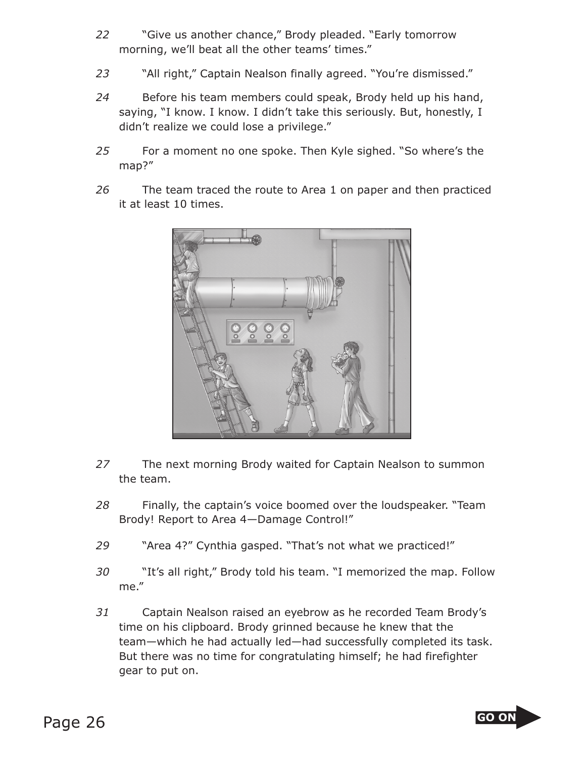- *22* "Give us another chance," Brody pleaded. "Early tomorrow morning, we'll beat all the other teams' times."
- *23* "All right," Captain Nealson finally agreed. "You're dismissed."
- *24* Before his team members could speak, Brody held up his hand, saying, "I know. I know. I didn't take this seriously. But, honestly, I didn't realize we could lose a privilege."
- *25* For a moment no one spoke. Then Kyle sighed. "So where's the map?"
- *26* The team traced the route to Area 1 on paper and then practiced it at least 10 times.



- *27* The next morning Brody waited for Captain Nealson to summon the team.
- *28* Finally, the captain's voice boomed over the loudspeaker. "Team Brody! Report to Area 4—Damage Control!"
- *29* "Area 4?" Cynthia gasped. "That's not what we practiced!"
- *30* "It's all right," Brody told his team. "I memorized the map. Follow me."
- *31* Captain Nealson raised an eyebrow as he recorded Team Brody's time on his clipboard. Brody grinned because he knew that the team—which he had actually led—had successfully completed its task. But there was no time for congratulating himself; he had firefighter gear to put on.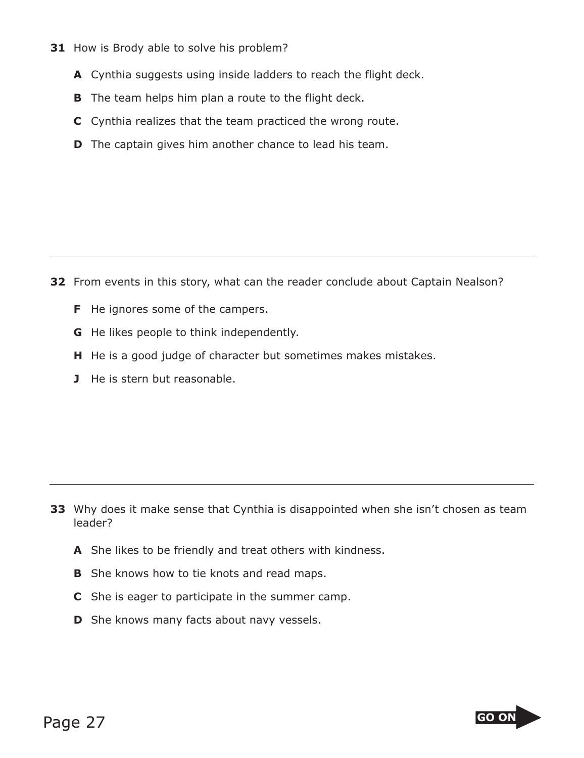- **31** How is Brody able to solve his problem?
	- **A** Cynthia suggests using inside ladders to reach the flight deck.
	- **B** The team helps him plan a route to the flight deck.
	- **C** Cynthia realizes that the team practiced the wrong route.
	- **D** The captain gives him another chance to lead his team.

**32** From events in this story, what can the reader conclude about Captain Nealson?

- **F** He ignores some of the campers.
- **G** He likes people to think independently.
- **H** He is a good judge of character but sometimes makes mistakes.
- **J** He is stern but reasonable.

- **33** Why does it make sense that Cynthia is disappointed when she isn't chosen as team leader?
	- **A** She likes to be friendly and treat others with kindness.
	- **B** She knows how to tie knots and read maps.
	- **C** She is eager to participate in the summer camp.
	- **D** She knows many facts about navy vessels.

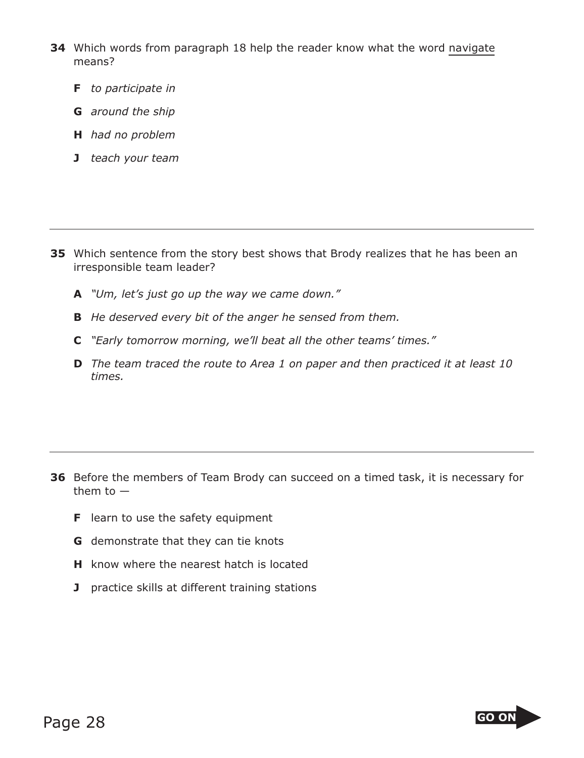- **34** Which words from paragraph 18 help the reader know what the word navigate means?
	- **F** *to participate in*
	- **G** *around the ship*
	- **H** *had no problem*
	- **J** *teach your team*

- **35** Which sentence from the story best shows that Brody realizes that he has been an irresponsible team leader?
	- **A** *"Um, let's just go up the way we came down."*
	- **B** *He deserved every bit of the anger he sensed from them.*
	- **C** *"Early tomorrow morning, we'll beat all the other teams' times."*
	- **D** *The team traced the route to Area 1 on paper and then practiced it at least 10 times.*

- **36** Before the members of Team Brody can succeed on a timed task, it is necessary for them to —
	- **F** learn to use the safety equipment
	- **G** demonstrate that they can tie knots
	- **H** know where the nearest hatch is located
	- **J** practice skills at different training stations